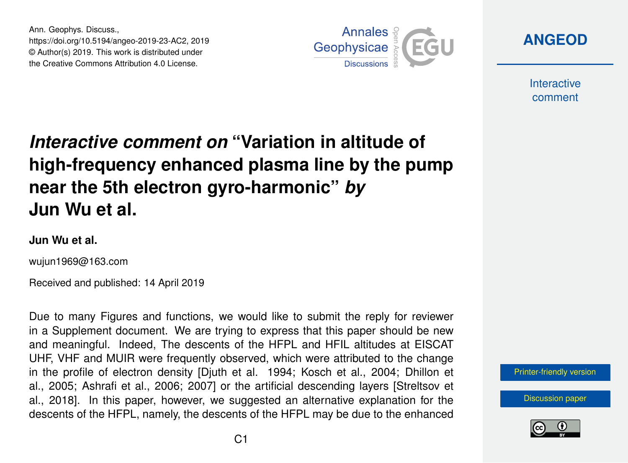Ann. Geophys. Discuss., https://doi.org/10.5194/angeo-2019-23-AC2, 2019 © Author(s) 2019. This work is distributed under the Creative Commons Attribution 4.0 License.



**[ANGEOD](https://www.ann-geophys-discuss.net/)**

**Interactive** comment

## *Interactive comment on* **"Variation in altitude of high-frequency enhanced plasma line by the pump near the 5th electron gyro-harmonic"** *by* **Jun Wu et al.**

## **Jun Wu et al.**

wujun1969@163.com

Received and published: 14 April 2019

Due to many Figures and functions, we would like to submit the reply for reviewer in a Supplement document. We are trying to express that this paper should be new and meaningful. Indeed, The descents of the HFPL and HFIL altitudes at EISCAT UHF, VHF and MUIR were frequently observed, which were attributed to the change in the profile of electron density [Djuth et al. 1994; Kosch et al., 2004; Dhillon et al., 2005; Ashrafi et al., 2006; 2007] or the artificial descending layers [Streltsov et al., 2018]. In this paper, however, we suggested an alternative explanation for the descents of the HFPL, namely, the descents of the HFPL may be due to the enhanced



[Discussion paper](https://www.ann-geophys-discuss.net/angeo-2019-23)